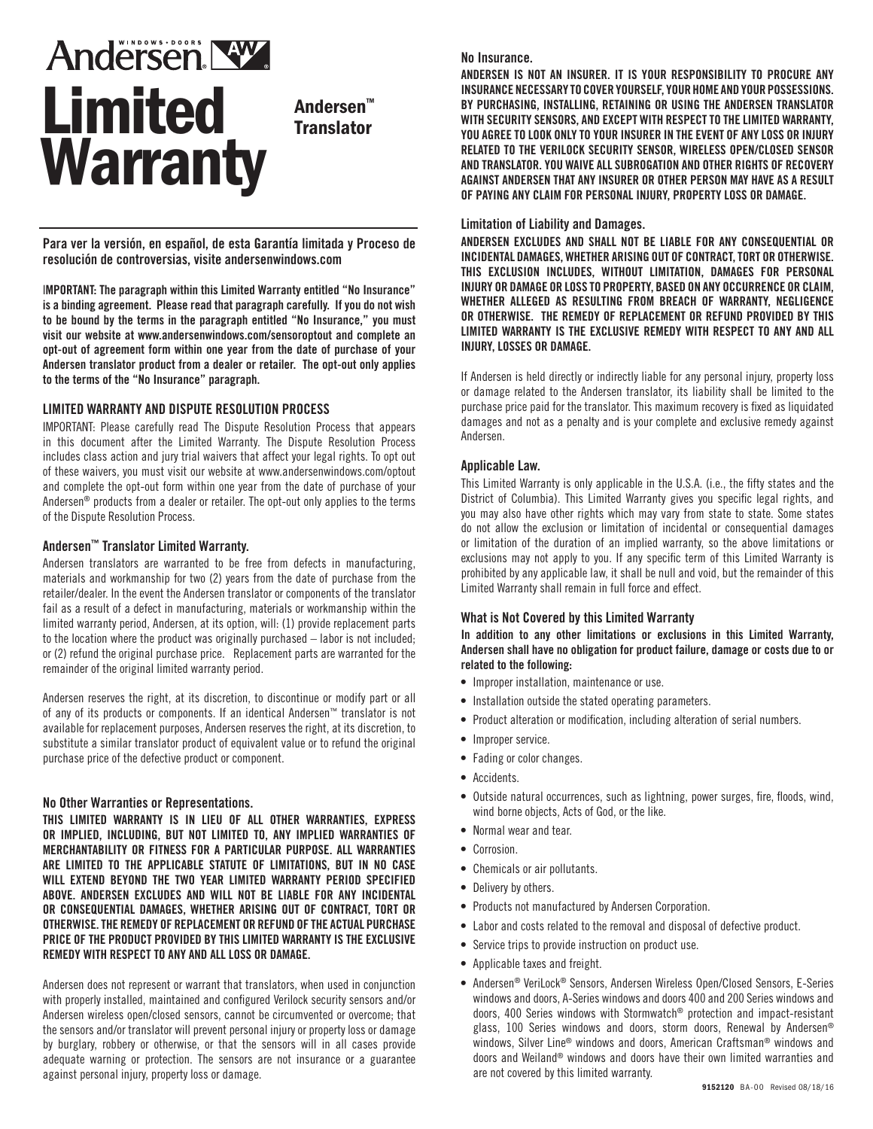# **Andersen NW** Limited **Warranty**

Andersen™ **Translator** 

**Para ver la versión, en español, de esta Garantía limitada y Proceso de resolución de controversias, visite andersenwindows.com**

I**MPORTANT: The paragraph within this Limited Warranty entitled "No Insurance" is a binding agreement. Please read that paragraph carefully. If you do not wish to be bound by the terms in the paragraph entitled "No Insurance," you must visit our website at www.andersenwindows.com/sensoroptout and complete an opt-out of agreement form within one year from the date of purchase of your Andersen translator product from a dealer or retailer. The opt-out only applies to the terms of the "No Insurance" paragraph.**

#### **LIMITED WARRANTY AND DISPUTE RESOLUTION PROCESS**

IMPORTANT: Please carefully read The Dispute Resolution Process that appears in this document after the Limited Warranty. The Dispute Resolution Process includes class action and jury trial waivers that affect your legal rights. To opt out of these waivers, you must visit our website at www.andersenwindows.com/optout and complete the opt-out form within one year from the date of purchase of your Andersen® products from a dealer or retailer. The opt-out only applies to the terms of the Dispute Resolution Process.

#### **Andersen™ Translator Limited Warranty.**

Andersen translators are warranted to be free from defects in manufacturing, materials and workmanship for two (2) years from the date of purchase from the retailer/dealer. In the event the Andersen translator or components of the translator fail as a result of a defect in manufacturing, materials or workmanship within the limited warranty period, Andersen, at its option, will: (1) provide replacement parts to the location where the product was originally purchased – labor is not included; or (2) refund the original purchase price. Replacement parts are warranted for the remainder of the original limited warranty period.

Andersen reserves the right, at its discretion, to discontinue or modify part or all of any of its products or components. If an identical Andersen™ translator is not available for replacement purposes, Andersen reserves the right, at its discretion, to substitute a similar translator product of equivalent value or to refund the original purchase price of the defective product or component.

#### **No Other Warranties or Representations.**

**THIS LIMITED WARRANTY IS IN LIEU OF ALL OTHER WARRANTIES, EXPRESS OR IMPLIED, INCLUDING, BUT NOT LIMITED TO, ANY IMPLIED WARRANTIES OF MERCHANTABILITY OR FITNESS FOR A PARTICULAR PURPOSE. ALL WARRANTIES ARE LIMITED TO THE APPLICABLE STATUTE OF LIMITATIONS, BUT IN NO CASE WILL EXTEND BEYOND THE TWO YEAR LIMITED WARRANTY PERIOD SPECIFIED ABOVE. ANDERSEN EXCLUDES AND WILL NOT BE LIABLE FOR ANY INCIDENTAL OR CONSEQUENTIAL DAMAGES, WHETHER ARISING OUT OF CONTRACT, TORT OR OTHERWISE. THE REMEDY OF REPLACEMENT OR REFUND OF THE ACTUAL PURCHASE PRICE OF THE PRODUCT PROVIDED BY THIS LIMITED WARRANTY IS THE EXCLUSIVE REMEDY WITH RESPECT TO ANY AND ALL LOSS OR DAMAGE.** 

Andersen does not represent or warrant that translators, when used in conjunction with properly installed, maintained and configured Verilock security sensors and/or Andersen wireless open/closed sensors, cannot be circumvented or overcome; that the sensors and/or translator will prevent personal injury or property loss or damage by burglary, robbery or otherwise, or that the sensors will in all cases provide adequate warning or protection. The sensors are not insurance or a guarantee against personal injury, property loss or damage.

#### **No Insurance.**

ANDERSEN IS NOT AN INSURER. IT IS YOUR RESPONSIBILITY TO PROCURE ANY INSURANCE NECESSARY TO COVER YOURSELF, YOUR HOME AND YOUR POSSESSIONS. BY PURCHASING, INSTALLING, RETAINING OR USING THE ANDERSEN TRANSLATOR WITH SECURITY SENSORS, AND EXCEPT WITH RESPECT TO THE LIMITED WARRANTY, YOU AGREE TO LOOK ONLY TO YOUR INSURER IN THE EVENT OF ANY LOSS OR INJURY RELATED TO THE VERILOCK SECURITY SENSOR, WIRELESS OPEN/CLOSED SENSOR AND TRANSLATOR. YOU WAIVE ALL SUBROGATION AND OTHER RIGHTS OF RECOVERY AGAINST ANDERSEN THAT ANY INSURER OR OTHER PERSON MAY HAVE AS A RESULT OF PAYING ANY CLAIM FOR PERSONAL INJURY, PROPERTY LOSS OR DAMAGE.

#### **Limitation of Liability and Damages.**

**ANDERSEN EXCLUDES AND SHALL NOT BE LIABLE FOR ANY CONSEQUENTIAL OR INCIDENTAL DAMAGES, WHETHER ARISING OUT OF CONTRACT, TORT OR OTHERWISE. THIS EXCLUSION INCLUDES, WITHOUT LIMITATION, DAMAGES FOR PERSONAL INJURY OR DAMAGE OR LOSS TO PROPERTY, BASED ON ANY OCCURRENCE OR CLAIM, WHETHER ALLEGED AS RESULTING FROM BREACH OF WARRANTY, NEGLIGENCE OR OTHERWISE. THE REMEDY OF REPLACEMENT OR REFUND PROVIDED BY THIS LIMITED WARRANTY IS THE EXCLUSIVE REMEDY WITH RESPECT TO ANY AND ALL INJURY, LOSSES OR DAMAGE.**

If Andersen is held directly or indirectly liable for any personal injury, property loss or damage related to the Andersen translator, its liability shall be limited to the purchase price paid for the translator. This maximum recovery is fixed as liquidated damages and not as a penalty and is your complete and exclusive remedy against Andersen.

#### **Applicable Law.**

This Limited Warranty is only applicable in the U.S.A. (i.e., the fifty states and the District of Columbia). This Limited Warranty gives you specific legal rights, and you may also have other rights which may vary from state to state. Some states do not allow the exclusion or limitation of incidental or consequential damages or limitation of the duration of an implied warranty, so the above limitations or exclusions may not apply to you. If any specific term of this Limited Warranty is prohibited by any applicable law, it shall be null and void, but the remainder of this Limited Warranty shall remain in full force and effect.

#### **What is Not Covered by this Limited Warranty**

I**n addition to any other limitations or exclusions in this Limited Warranty, Andersen shall have no obligation for product failure, damage or costs due to or related to the following:**

- Improper installation, maintenance or use.
- Installation outside the stated operating parameters.
- Product alteration or modification, including alteration of serial numbers.
- Improper service.
- Fading or color changes.
- Accidents.
- Outside natural occurrences, such as lightning, power surges, fire, floods, wind, wind borne objects, Acts of God, or the like.
- Normal wear and tear.
- Corrosion.
- Chemicals or air pollutants.
- Delivery by others.
- Products not manufactured by Andersen Corporation.
- Labor and costs related to the removal and disposal of defective product.
- Service trips to provide instruction on product use.
- Applicable taxes and freight.
- Andersen® VeriLock® Sensors, Andersen Wireless Open/Closed Sensors, E-Series windows and doors, A-Series windows and doors 400 and 200 Series windows and doors, 400 Series windows with Stormwatch® protection and impact-resistant glass, 100 Series windows and doors, storm doors, Renewal by Andersen® windows, Silver Line® windows and doors, American Craftsman® windows and doors and Weiland® windows and doors have their own limited warranties and are not covered by this limited warranty.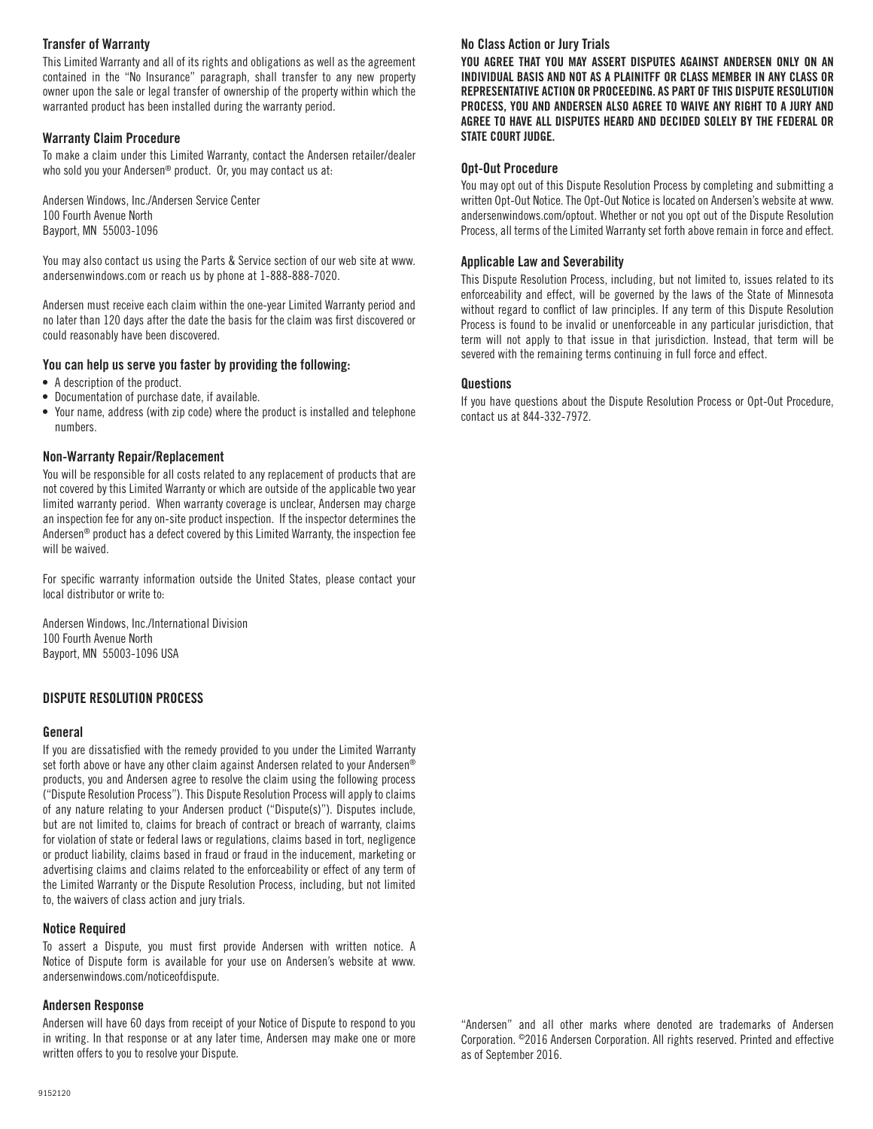## **Transfer of Warranty**

This Limited Warranty and all of its rights and obligations as well as the agreement contained in the "No Insurance" paragraph, shall transfer to any new property owner upon the sale or legal transfer of ownership of the property within which the warranted product has been installed during the warranty period.

### **Warranty Claim Procedure**

To make a claim under this Limited Warranty, contact the Andersen retailer/dealer who sold you your Andersen® product. Or, you may contact us at:

Andersen Windows, Inc./Andersen Service Center 100 Fourth Avenue North Bayport, MN 55003-1096

You may also contact us using the Parts & Service section of our web site at www. andersenwindows.com or reach us by phone at 1-888-888-7020.

Andersen must receive each claim within the one-year Limited Warranty period and no later than 120 days after the date the basis for the claim was first discovered or could reasonably have been discovered.

## **You can help us serve you faster by providing the following:**

- A description of the product.
- Documentation of purchase date, if available.
- Your name, address (with zip code) where the product is installed and telephone numbers.

#### **Non-Warranty Repair/Replacement**

You will be responsible for all costs related to any replacement of products that are not covered by this Limited Warranty or which are outside of the applicable two year limited warranty period. When warranty coverage is unclear, Andersen may charge an inspection fee for any on-site product inspection. If the inspector determines the Andersen® product has a defect covered by this Limited Warranty, the inspection fee will be waived.

For specific warranty information outside the United States, please contact your local distributor or write to:

Andersen Windows, Inc./International Division 100 Fourth Avenue North Bayport, MN 55003-1096 USA

## **DISPUTE RESOLUTION PROCESS**

#### **General**

If you are dissatisfied with the remedy provided to you under the Limited Warranty set forth above or have any other claim against Andersen related to your Andersen® products, you and Andersen agree to resolve the claim using the following process ("Dispute Resolution Process"). This Dispute Resolution Process will apply to claims of any nature relating to your Andersen product ("Dispute(s)"). Disputes include, but are not limited to, claims for breach of contract or breach of warranty, claims for violation of state or federal laws or regulations, claims based in tort, negligence or product liability, claims based in fraud or fraud in the inducement, marketing or advertising claims and claims related to the enforceability or effect of any term of the Limited Warranty or the Dispute Resolution Process, including, but not limited to, the waivers of class action and jury trials.

#### **Notice Required**

To assert a Dispute, you must first provide Andersen with written notice. A Notice of Dispute form is available for your use on Andersen's website at www. andersenwindows.com/noticeofdispute.

#### **Andersen Response**

Andersen will have 60 days from receipt of your Notice of Dispute to respond to you in writing. In that response or at any later time, Andersen may make one or more written offers to you to resolve your Dispute.

# **No Class Action or Jury Trials**

YOU AGREE THAT YOU MAY ASSERT DISPUTES AGAINST ANDERSEN ONLY ON AN INDIVIDUAL BASIS AND NOT AS A PLAINITFF OR CLASS MEMBER IN ANY CLASS OR REPRESENTATIVE ACTION OR PROCEEDING. AS PART OF THIS DISPUTE RESOLUTION PROCESS, YOU AND ANDERSEN ALSO AGREE TO WAIVE ANY RIGHT TO A JURY AND AGREE TO HAVE ALL DISPUTES HEARD AND DECIDED SOLELY BY THE FEDERAL OR STATE COURT JUDGE.

### **Opt-Out Procedure**

You may opt out of this Dispute Resolution Process by completing and submitting a written Opt-Out Notice. The Opt-Out Notice is located on Andersen's website at www. andersenwindows.com/optout. Whether or not you opt out of the Dispute Resolution Process, all terms of the Limited Warranty set forth above remain in force and effect.

## **Applicable Law and Severability**

This Dispute Resolution Process, including, but not limited to, issues related to its enforceability and effect, will be governed by the laws of the State of Minnesota without regard to conflict of law principles. If any term of this Dispute Resolution Process is found to be invalid or unenforceable in any particular jurisdiction, that term will not apply to that issue in that jurisdiction. Instead, that term will be severed with the remaining terms continuing in full force and effect.

#### **Questions**

If you have questions about the Dispute Resolution Process or Opt-Out Procedure, contact us at 844-332-7972.

"Andersen" and all other marks where denoted are trademarks of Andersen Corporation. ©2016 Andersen Corporation. All rights reserved. Printed and effective as of September 2016.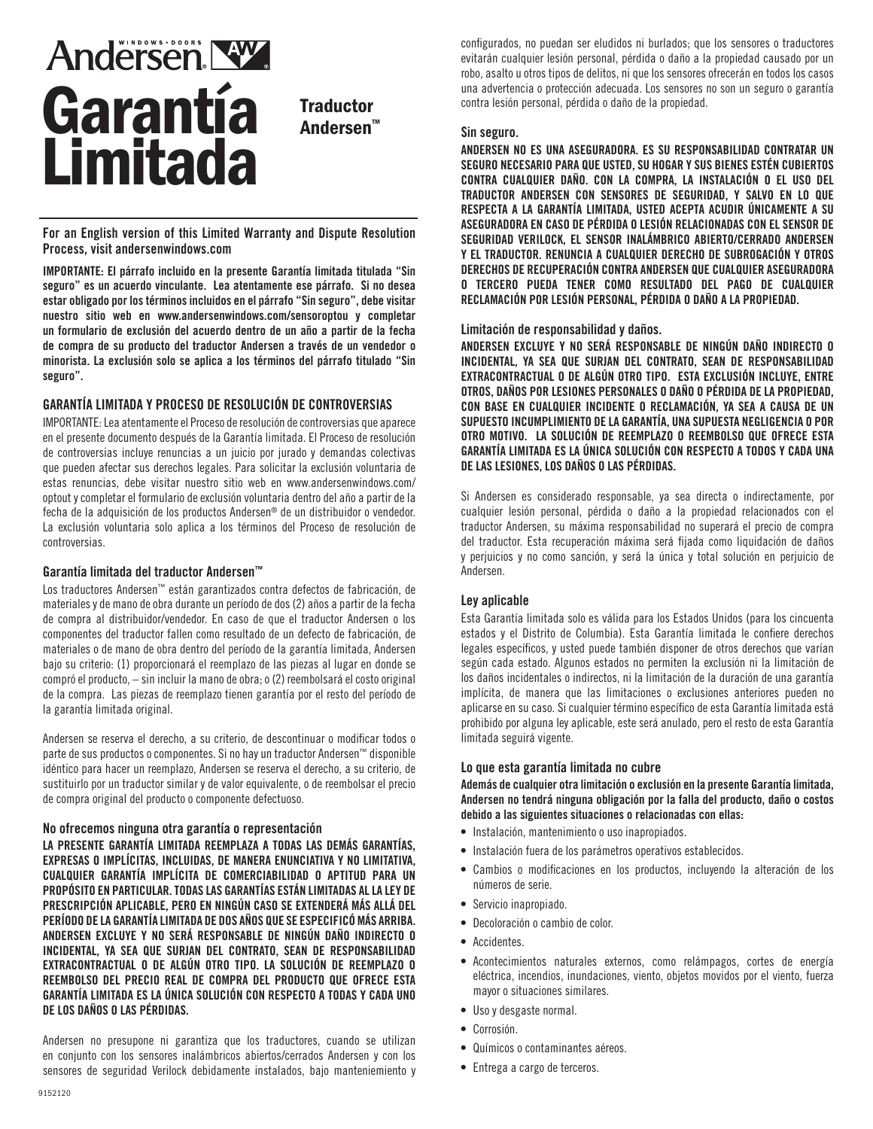# **Andersen NW** Garantía Limitada

**Traductor** Andersen™

For an English version of this Limited Warranty and Dispute Resolution Process, visit andersenwindows.com

IMPORTANTE: **El párrafo incluido en la presente Garantía limitada titulada "Sin seguro" es un acuerdo vinculante. Lea atentamente ese párrafo. Si no desea estar obligado por los términos incluidos en el párrafo "Sin seguro", debe visitar nuestro sitio web en www.andersenwindows.com/sensoroptou y completar un formulario de exclusión del acuerdo dentro de un año a partir de la fecha de compra de su producto del traductor Andersen a través de un vendedor o minorista. La exclusión solo se aplica a los términos del párrafo titulado "Sin seguro".**

## GARANTÍA LIMITADA Y PROCESO DE RESOLUCIÓN DE CONTROVERSIAS

IMPORTANTE: Lea atentamente el Proceso de resolución de controversias que aparece en el presente documento después de la Garantía limitada. El Proceso de resolución de controversias incluye renuncias a un juicio por jurado y demandas colectivas que pueden afectar sus derechos legales. Para solicitar la exclusión voluntaria de estas renuncias, debe visitar nuestro sitio web en www.andersenwindows.com/ optout y completar el formulario de exclusión voluntaria dentro del año a partir de la fecha de la adquisición de los productos Andersen® de un distribuidor o vendedor. La exclusión voluntaria solo aplica a los términos del Proceso de resolución de controversias.

#### **Garantía limitada del traductor Andersen™**

Los traductores Andersen™ están garantizados contra defectos de fabricación, de materiales y de mano de obra durante un período de dos (2) años a partir de la fecha de compra al distribuidor/vendedor. En caso de que el traductor Andersen o los componentes del traductor fallen como resultado de un defecto de fabricación, de materiales o de mano de obra dentro del período de la garantía limitada, Andersen bajo su criterio: (1) proporcionará el reemplazo de las piezas al lugar en donde se compró el producto, – sin incluir la mano de obra; o (2) reembolsará el costo original de la compra. Las piezas de reemplazo tienen garantía por el resto del período de la garantía limitada original.

Andersen se reserva el derecho, a su criterio, de descontinuar o modificar todos o parte de sus productos o componentes. Si no hay un traductor Andersen™ disponible idéntico para hacer un reemplazo, Andersen se reserva el derecho, a su criterio, de sustituirlo por un traductor similar y de valor equivalente, o de reembolsar el precio de compra original del producto o componente defectuoso.

## **No ofrecemos ninguna otra garantía o representación**

**LA PRESENTE GARANTÍA LIMITADA REEMPLAZA A TODAS LAS DEMÁS GARANTÍAS, EXPRESAS O IMPLÍCITAS, INCLUIDAS, DE MANERA ENUNCIATIVA Y NO LIMITATIVA, CUALQUIER GARANTÍA IMPLÍCITA DE COMERCIABILIDAD O APTITUD PARA UN PROPÓSITO EN PARTICULAR. TODAS LAS GARANTÍAS ESTÁN LIMITADAS AL LA LEY DE PRESCRIPCIÓN APLICABLE, PERO EN NINGÚN CASO SE EXTENDERÁ MÁS ALLÁ DEL PERÍODO DE LA GARANTÍA LIMITADA DE DOS AÑOS QUE SE ESPECIFICÓ MÁS ARRIBA. ANDERSEN EXCLUYE Y NO SERÁ RESPONSABLE DE NINGÚN DAÑO INDIRECTO O INCIDENTAL, YA SEA QUE SURJAN DEL CONTRATO, SEAN DE RESPONSABILIDAD EXTRACONTRACTUAL O DE ALGÚN OTRO TIPO. LA SOLUCIÓN DE REEMPLAZO O REEMBOLSO DEL PRECIO REAL DE COMPRA DEL PRODUCTO QUE OFRECE ESTA GARANTÍA LIMITADA ES LA ÚNICA SOLUCIÓN CON RESPECTO A TODAS Y CADA UNO DE LOS DAÑOS O LAS PÉRDIDAS.**

Andersen no presupone ni garantiza que los traductores, cuando se utilizan en conjunto con los sensores inalámbricos abiertos/cerrados Andersen y con los sensores de seguridad Verilock debidamente instalados, bajo manteniemiento y configurados, no puedan ser eludidos ni burlados; que los sensores o traductores evitarán cualquier lesión personal, pérdida o daño a la propiedad causado por un robo, asalto u otros tipos de delitos, ni que los sensores ofrecerán en todos los casos una advertencia o protección adecuada. Los sensores no son un seguro o garantía contra lesión personal, pérdida o daño de la propiedad.

#### **Sin seguro.**

ANDERSEN NO ES UNA ASEGURADORA. ES SU RESPONSABILIDAD CONTRATAR UN SEGURO NECESARIO PARA QUE USTED, SU HOGAR Y SUS BIENES ESTÉN CUBIERTOS CONTRA CUALQUIER DAÑO. CON LA COMPRA, LA INSTALACIÓN O EL USO DEL TRADUCTOR ANDERSEN CON SENSORES DE SEGURIDAD, Y SALVO EN LO QUE RESPECTA A LA GARANTÍA LIMITADA, USTED ACEPTA ACUDIR ÚNICAMENTE A SU ASEGURADORA EN CASO DE PÉRDIDA O LESIÓN RELACIONADAS CON EL SENSOR DE SEGURIDAD VERILOCK, EL SENSOR INALÁMBRICO ABIERTO/CERRADO ANDERSEN Y EL TRADUCTOR. RENUNCIA A CUALQUIER DERECHO DE SUBROGACIÓN Y OTROS DERECHOS DE RECUPERACIÓN CONTRA ANDERSEN QUE CUALQUIER ASEGURADORA O TERCERO PUEDA TENER COMO RESULTADO DEL PAGO DE CUALQUIER RECLAMACIÓN POR LESIÓN PERSONAL, PÉRDIDA O DAÑO A LA PROPIEDAD.

#### **Limitación de responsabilidad y daños.**

**ANDERSEN EXCLUYE Y NO SERÁ RESPONSABLE DE NINGÚN DAÑO INDIRECTO O INCIDENTAL, YA SEA QUE SURJAN DEL CONTRATO, SEAN DE RESPONSABILIDAD EXTRACONTRACTUAL O DE ALGÚN OTRO TIPO. ESTA EXCLUSIÓN INCLUYE, ENTRE OTROS, DAÑOS POR LESIONES PERSONALES O DAÑO O PÉRDIDA DE LA PROPIEDAD, CON BASE EN CUALQUIER INCIDENTE O RECLAMACIÓN, YA SEA A CAUSA DE UN SUPUESTO INCUMPLIMIENTO DE LA GARANTÍA, UNA SUPUESTA NEGLIGENCIA O POR OTRO MOTIVO. LA SOLUCIÓN DE REEMPLAZO O REEMBOLSO QUE OFRECE ESTA GARANTÍA LIMITADA ES LA ÚNICA SOLUCIÓN CON RESPECTO A TODOS Y CADA UNA DE LAS LESIONES, LOS DAÑOS O LAS PÉRDIDAS.**

Si Andersen es considerado responsable, ya sea directa o indirectamente, por cualquier lesión personal, pérdida o daño a la propiedad relacionados con el traductor Andersen, su máxima responsabilidad no superará el precio de compra del traductor. Esta recuperación máxima será fijada como liquidación de daños y perjuicios y no como sanción, y será la única y total solución en perjuicio de Andersen.

#### **Ley aplicable**

Esta Garantía limitada solo es válida para los Estados Unidos (para los cincuenta estados y el Distrito de Columbia). Esta Garantía limitada le confiere derechos legales específicos, y usted puede también disponer de otros derechos que varían según cada estado. Algunos estados no permiten la exclusión ni la limitación de los daños incidentales o indirectos, ni la limitación de la duración de una garantía implícita, de manera que las limitaciones o exclusiones anteriores pueden no aplicarse en su caso. Si cualquier término específico de esta Garantía limitada está prohibido por alguna ley aplicable, este será anulado, pero el resto de esta Garantía limitada seguirá vigente.

#### **Lo que esta garantía limitada no cubre**

Además de cualquier otra limitación o exclusión en la presente Garantía limitada, Andersen no tendrá ninguna obligación por la falla del producto, daño o costos debido a las siguientes situaciones o relacionadas con ellas:

- Instalación, mantenimiento o uso inapropiados.
- Instalación fuera de los parámetros operativos establecidos.
- Cambios o modificaciones en los productos, incluyendo la alteración de los números de serie.
- Servicio inapropiado.
- Decoloración o cambio de color.
- Accidentes.
- Acontecimientos naturales externos, como relámpagos, cortes de energía eléctrica, incendios, inundaciones, viento, objetos movidos por el viento, fuerza mayor o situaciones similares.
- Uso y desgaste normal.
- Corrosión.
- Químicos o contaminantes aéreos.
- Entrega a cargo de terceros.